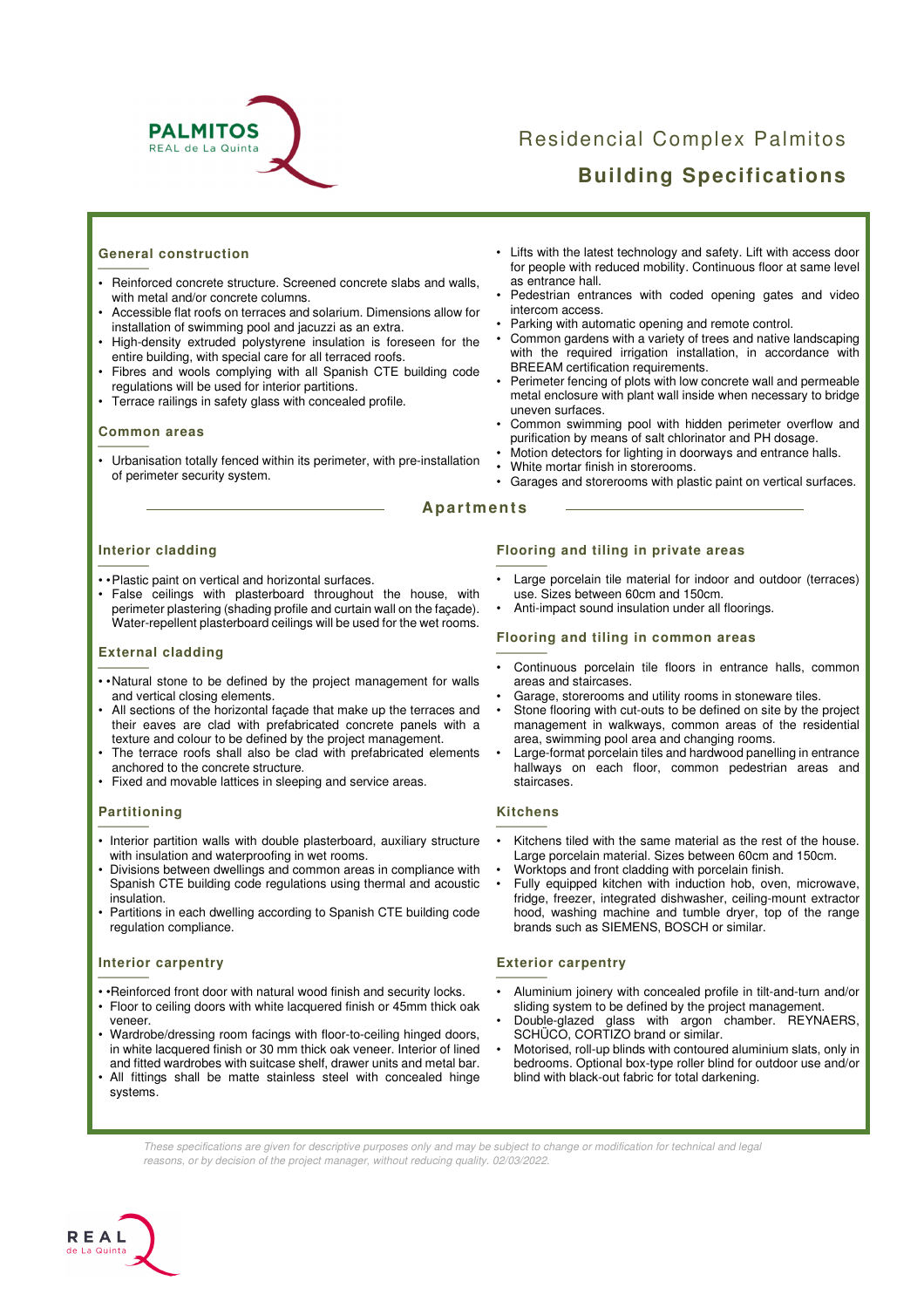

# Residencial Complex Palmitos **Building Specifications**

# **General construction**  Genera

- **•** Reinforced concrete structure. Screened concrete slabs and walls, with metal and/or concrete columns.
- Accessible flat roofs on terraces and solarium. Dimensions allow for installation of swimming pool and jacuzzi as an extra.
- High-density extruded polystyrene insulation is foreseen for the entire building, with special care for all terraced roofs.
- Fibres and wools complying with all Spanish CTE building code regulations will be used for interior partitions.
- Terrace railings in safety glass with concealed profile.

# **Common areas**   $\frac{Common}{\frac{1}{1 + \frac{1}{1}}$

• Urbanisation totally fenced within its perimeter, with pre-installation of perimeter security system.

- Lifts with the latest technology and safety. Lift with access door for people with reduced mobility. Continuous floor at same level as entrance hall.
- Pedestrian entrances with coded opening gates and video intercom access.
- Parking with automatic opening and remote control.
- Common gardens with a variety of trees and native landscaping with the required irrigation installation, in accordance with BREEAM certification requirements.
- Perimeter fencing of plots with low concrete wall and permeable metal enclosure with plant wall inside when necessary to bridge uneven surfaces.
- Common swimming pool with hidden perimeter overflow and purification by means of salt chlorinator and PH dosage.
- Motion detectors for lighting in doorways and entrance halls. White mortar finish in storerooms.
- Garages and storerooms with plastic paint on vertical surfaces.
- 

#### **Apartments**

# **Interior cladding**  Interior

- • Plastic paint on vertical and horizontal surfaces.
- False ceilings with plasterboard throughout the house, with perimeter plastering (shading profile and curtain wall on the façade). Water-repellent plasterboard ceilings will be used for the wet rooms.

# **External cladding**   $\frac{$  Externa

- • Natural stone to be defined by the project management for walls and vertical closing elements.
- All sections of the horizontal façade that make up the terraces and their eaves are clad with prefabricated concrete panels with a texture and colour to be defined by the project management.
- The terrace roofs shall also be clad with prefabricated elements anchored to the concrete structure.
- Fixed and movable lattices in sleeping and service areas.

# **Partitioning**  Partitio

- Interior partition walls with double plasterboard, auxiliary structure with insulation and waterproofing in wet rooms.
- Divisions between dwellings and common areas in compliance with Spanish CTE building code regulations using thermal and acoustic insulation.
- Partitions in each dwelling according to Spanish CTE building code regulation compliance.

# **Interior carpentry**   $\frac{$ Interior

- •Reinforced front door with natural wood finish and security locks.
- Floor to ceiling doors with white lacquered finish or 45mm thick oak veneer.
- Wardrobe/dressing room facings with floor-to-ceiling hinged doors, in white lacquered finish or 30 mm thick oak veneer. Interior of lined and fitted wardrobes with suitcase shelf, drawer units and metal bar.
- All fittings shall be matte stainless steel with concealed hinge systems.

# **Flooring and tiling in private areas**  $\frac{Floor}{F}$

- Large porcelain tile material for indoor and outdoor (terraces) use. Sizes between 60cm and 150cm.
- Anti-impact sound insulation under all floorings.

# **Flooring and tiling in common areas**   $\frac{Floor}{F}$

- Continuous porcelain tile floors in entrance halls, common areas and staircases.
- Garage, storerooms and utility rooms in stoneware tiles.
- Stone flooring with cut-outs to be defined on site by the project management in walkways, common areas of the residential area, swimming pool area and changing rooms.
- Large-format porcelain tiles and hardwood panelling in entrance hallways on each floor, common pedestrian areas and staircases.

# **Kitchens**   $\frac{Kitcher}{\sqrt{Kitcher}}$

- Kitchens tiled with the same material as the rest of the house. Large porcelain material. Sizes between 60cm and 150cm.
- Worktops and front cladding with porcelain finish.
- Fully equipped kitchen with induction hob, oven, microwave, fridge, freezer, integrated dishwasher, ceiling-mount extractor hood, washing machine and tumble dryer, top of the range brands such as SIEMENS, BOSCH or similar.

# **Exterior carpentry**   $\frac{$  Exterio

- Aluminium joinery with concealed profile in tilt-and-turn and/or sliding system to be defined by the project management.
- Double-glazed glass with argon chamber. REYNAERS, SCHÜCO, CORTIZO brand or similar.
- Motorised, roll-up blinds with contoured aluminium slats, only in bedrooms. Optional box-type roller blind for outdoor use and/or blind with black-out fabric for total darkening.
- These specifications are given for descriptive purposes only and may be subject to change or modification for technical and legal reasons, or by decision of the project manager, without reducing quality. 02/03/2022.